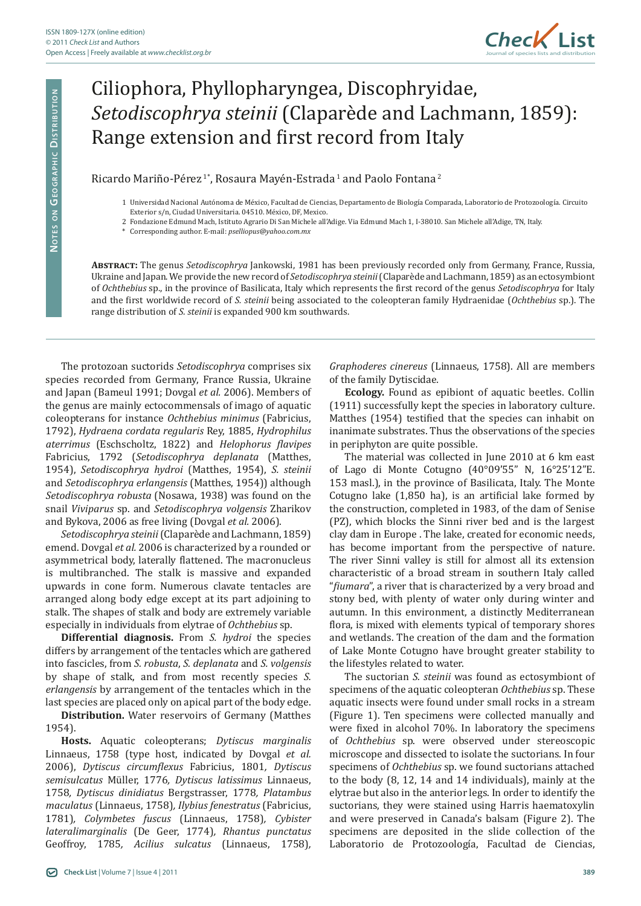

## Ciliophora, Phyllopharyngea, Discophryidae, *Setodiscophrya steinii* (Claparède and Lachmann, 1859): Range extension and first record from Italy

Ricardo Mariño-Pérez<sup>1\*</sup>, Rosaura Mayén-Estrada<sup>1</sup> and Paolo Fontana<sup>2</sup>

- 1 Universidad Nacional Autónoma de México, Facultad de Ciencias, Departamento de Biología Comparada, Laboratorio de Protozoología. Circuito Exterior s/n, Ciudad Universitaria. 04510. México, DF, Mexico.
- 2 Fondazione Edmund Mach, Istituto Agrario Di San Michele all'Adige. Via Edmund Mach 1, I-38010. San Michele all'Adige, TN, Italy.
- \* Corresponding author. E-mail: *pselliopus@yahoo.com.mx*

**Abstract:** The genus *Setodiscophrya* Jankowski, 1981 has been previously recorded only from Germany, France, Russia, Ukraine and Japan. We provide the new record of *Setodiscophrya steinii* (Claparède and Lachmann, 1859) as an ectosymbiont of *Ochthebius* sp., in the province of Basilicata, Italy which represents the first record of the genus *Setodiscophrya* for Italy and the first worldwide record of *S. steinii* being associated to the coleopteran family Hydraenidae (*Ochthebius* sp.). The range distribution of *S. steinii* is expanded 900 km southwards.

The protozoan suctorids *Setodiscophrya* comprises six species recorded from Germany, France Russia, Ukraine and Japan (Bameul 1991; Dovgal *et al.* 2006). Members of the genus are mainly ectocommensals of imago of aquatic coleopterans for instance *Ochthebius minimus* (Fabricius, 1792), *Hydraena cordata regularis* Rey, 1885, *Hydrophilus aterrimus* (Eschscholtz, 1822) and *Helophorus flavipes* Fabricius, 1792 (*Setodiscophrya deplanata* (Matthes, 1954), *Setodiscophrya hydroi* (Matthes, 1954), *S. steinii* and *Setodiscophrya erlangensis* (Matthes, 1954)) although *Setodiscophrya robusta* (Nosawa, 1938) was found on the snail *Viviparus* sp. and *Setodiscophrya volgensis* Zharikov and Bykova, 2006 as free living (Dovgal *et al.* 2006).

*Setodiscophrya steinii*(Claparède and Lachmann, 1859) emend. Dovgal *et al.* 2006 is characterized by a rounded or asymmetrical body, laterally flattened. The macronucleus is multibranched. The stalk is massive and expanded upwards in cone form. Numerous clavate tentacles are arranged along body edge except at its part adjoining to stalk. The shapes of stalk and body are extremely variable especially in individuals from elytrae of *Ochthebius* sp.

**Differential diagnosis.** From *S. hydroi* the species differs by arrangement of the tentacles which are gathered into fascicles, from *S. robusta*, *S. deplanata* and *S. volgensis* by shape of stalk, and from most recently species *S. erlangensis* by arrangement of the tentacles which in the last species are placed only on apical part of the body edge.

**Distribution.** Water reservoirs of Germany (Matthes 1954).

**Hosts.** Aquatic coleopterans; *Dytiscus marginalis* Linnaeus, 1758 (type host, indicated by Dovgal *et al.* 2006), *Dytiscus circumflexus* Fabricius, 1801*, Dytiscus semisulcatus* Müller, 1776*, Dytiscus latissimus* Linnaeus, 1758*, Dytiscus dinidiatus* Bergstrasser, 1778*, Platambus maculatus* (Linnaeus, 1758)*, Ilybius fenestratus* (Fabricius, 1781)*, Colymbetes fuscus* (Linnaeus, 1758)*, Cybister lateralimarginalis* (De Geer, 1774)*, Rhantus punctatus* Geoffroy, 1785*, Acilius sulcatus* (Linnaeus, 1758)*,*  *Graphoderes cinereus* (Linnaeus, 1758). All are members of the family Dytiscidae*.*

**Ecology.** Found as epibiont of aquatic beetles. Collin (1911) successfully kept the species in laboratory culture. Matthes (1954) testified that the species can inhabit on inanimate substrates. Thus the observations of the species in periphyton are quite possible.

The material was collected in June 2010 at 6 km east of Lago di Monte Cotugno (40°09'55" N, 16°25'12"E. 153 masl.), in the province of Basilicata, Italy. The Monte Cotugno lake (1,850 ha), is an artificial lake formed by the construction, completed in 1983, of the dam of Senise (PZ), which blocks the Sinni river bed and is the largest clay dam in Europe . The lake, created for economic needs, has become important from the perspective of nature. The river Sinni valley is still for almost all its extension characteristic of a broad stream in southern Italy called "*fiumara*", a river that is characterized by a very broad and stony bed, with plenty of water only during winter and autumn. In this environment, a distinctly Mediterranean flora, is mixed with elements typical of temporary shores and wetlands. The creation of the dam and the formation of Lake Monte Cotugno have brought greater stability to the lifestyles related to water.

The suctorian *S. steinii* was found as ectosymbiont of specimens of the aquatic coleopteran *Ochthebius* sp. These aquatic insects were found under small rocks in a stream (Figure 1). Ten specimens were collected manually and were fixed in alcohol 70%. In laboratory the specimens of *Ochthebius* sp. were observed under stereoscopic microscope and dissected to isolate the suctorians. In four specimens of *Ochthebius* sp. we found suctorians attached to the body (8, 12, 14 and 14 individuals), mainly at the elytrae but also in the anterior legs. In order to identify the suctorians, they were stained using Harris haematoxylin and were preserved in Canada's balsam (Figure 2). The specimens are deposited in the slide collection of the Laboratorio de Protozoología, Facultad de Ciencias,